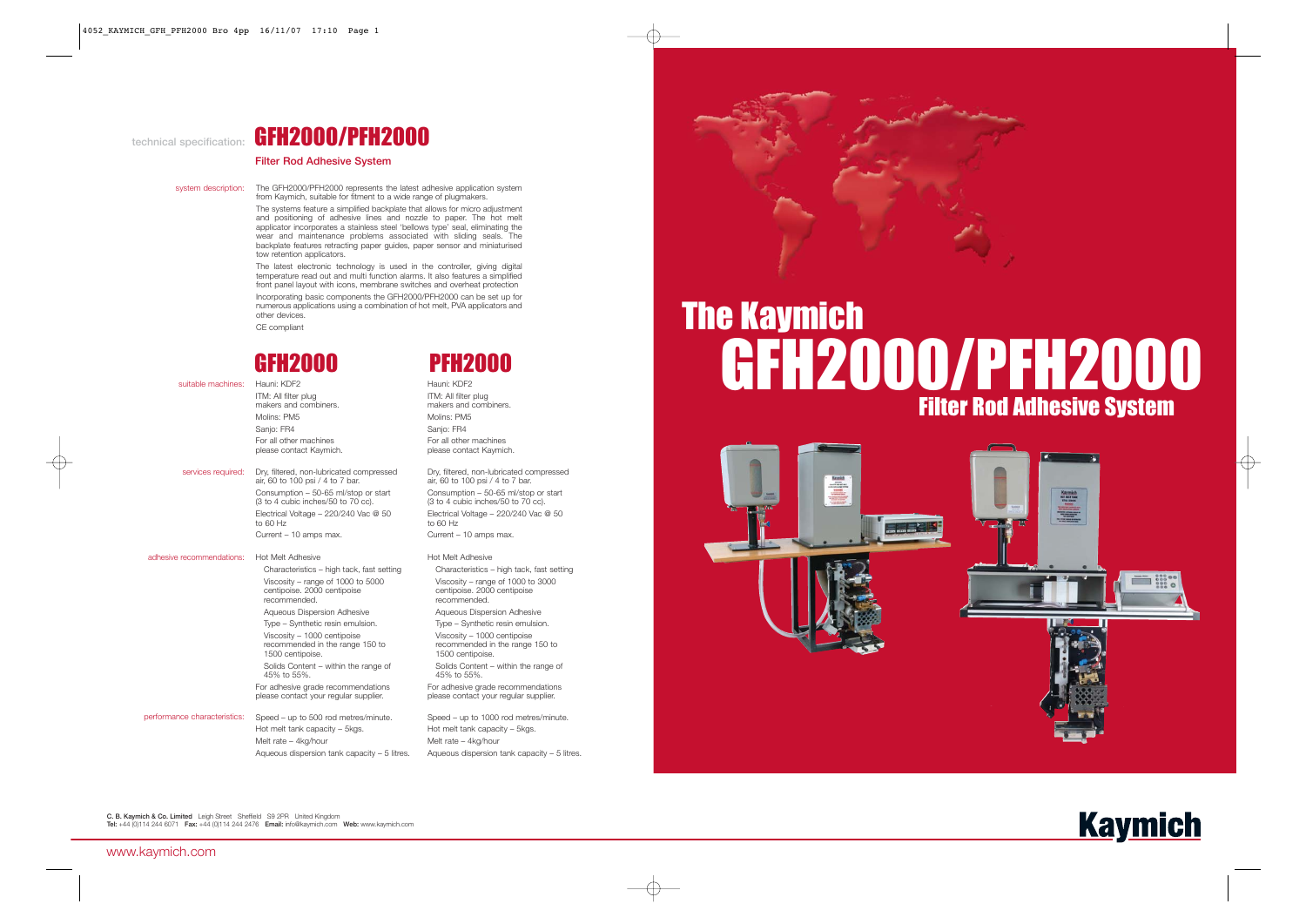#### **technical specification:**

# GFH2000/PFH2000

#### **Filter Rod Adhesive System**

system description: The GFH2000/PFH2000 represents the latest adhesive application system from Kaymich, suitable for fitment to a wide range of plugmakers.

> The systems feature a simplified backplate that allows for micro adjustment and positioning of adhesive lines and nozzle to paper. The hot melt applicator incorporates a stainless steel 'bellows type' seal, eliminating the wear and maintenance problems associated with sliding seals. The backplate features retracting paper guides, paper sensor and miniaturised tow retention applicators.

> The latest electronic technology is used in the controller, giving digital temperature read out and multi function alarms. It also features a simplified front panel layout with icons, membrane switches and overheat protection

> Incorporating basic components the GFH2000/PFH2000 can be set up for numerous applications using a combination of hot melt, PVA applicators and other devices. CE compliant

suitable machines: Hauni: KDF2

- ITM: All filter plug makers and combiners. Molins: PM5 Sanjo: FR4 For all other machines please contact Kaymich.
- services required: Dry, filtered, non-lubricated compressed air, 60 to 100 psi / 4 to 7 bar. Consumption – 50-65 ml/stop or start (3 to 4 cubic inches/50 to 70 cc). Electrical Voltage – 220/240 Vac @ 50 to 60 Hz Current – 10 amps max.

| adhesive recommendations:    | <b>Hot Melt Adhesive</b>                                                           | Hot Melt Adhesive                                                           |
|------------------------------|------------------------------------------------------------------------------------|-----------------------------------------------------------------------------|
|                              | Characteristics – high tack, fast setting                                          | Characteristics - high tack                                                 |
|                              | Viscosity – range of 1000 to 5000<br>centipoise. 2000 centipoise<br>recommended.   | Viscosity – range of 1000 t<br>centipoise. 2000 centipoise<br>recommended.  |
|                              | Aqueous Dispersion Adhesive                                                        | Aqueous Dispersion Adhes                                                    |
|                              | Type – Synthetic resin emulsion.                                                   | Type - Synthetic resin emu                                                  |
|                              | Viscosity - 1000 centipoise<br>recommended in the range 150 to<br>1500 centipoise. | Viscosity - 1000 centipoise<br>recommended in the range<br>1500 centipoise. |
|                              | Solids Content – within the range of<br>45% to 55%.                                | Solids Content - within the<br>45% to 55%.                                  |
|                              | For adhesive grade recommendations<br>please contact your regular supplier.        | For adhesive grade recomme<br>please contact your regular s                 |
| performance characteristics: | Speed – up to 500 rod metres/minute.<br>Hot melt tank capacity - 5kgs.             | Speed - up to 1000 rod met<br>Hot melt tank capacity - 5kg                  |
|                              |                                                                                    |                                                                             |

Melt rate – 4kg/hour Aqueous dispersion tank capacity – 5 litres.



Hauni: KDF2 ITM: All filter plug makers and combiners. Molins: PM5 Sanjo: FR4 For all other machines please contact Kaymich.

> Dry, filtered, non-lubricated compressed air, 60 to 100 psi / 4 to 7 bar. Consumption – 50-65 ml/stop or start (3 to 4 cubic inches/50 to 70 cc). Electrical Voltage – 220/240 Vac @ 50 to 60 Hz Current – 10 amps max.

### fast setting to 3000 centipoise. 2000 centipoise Aqueous Dispersion Adhesive Jsion. Viscosity – 1000 centipoise 150 to range of endations supplier. res/minute.

Hot melt tank capacity – 5kgs. Melt rate – 4kg/hour Aqueous dispersion tank capacity – 5 litres.



# GFH2000/PFH2000 Filter Rod Adhesive System The Kaymich



**C. B. Kaymich & Co. Limited** Leigh Street Sheffield S9 2PR United Kingdom **Tel:** +44 (0)114 244 6071 **Fax:** +44 (0)114 244 2476 **Email:** info@kaymich.com **Web:** www.kaymich.com